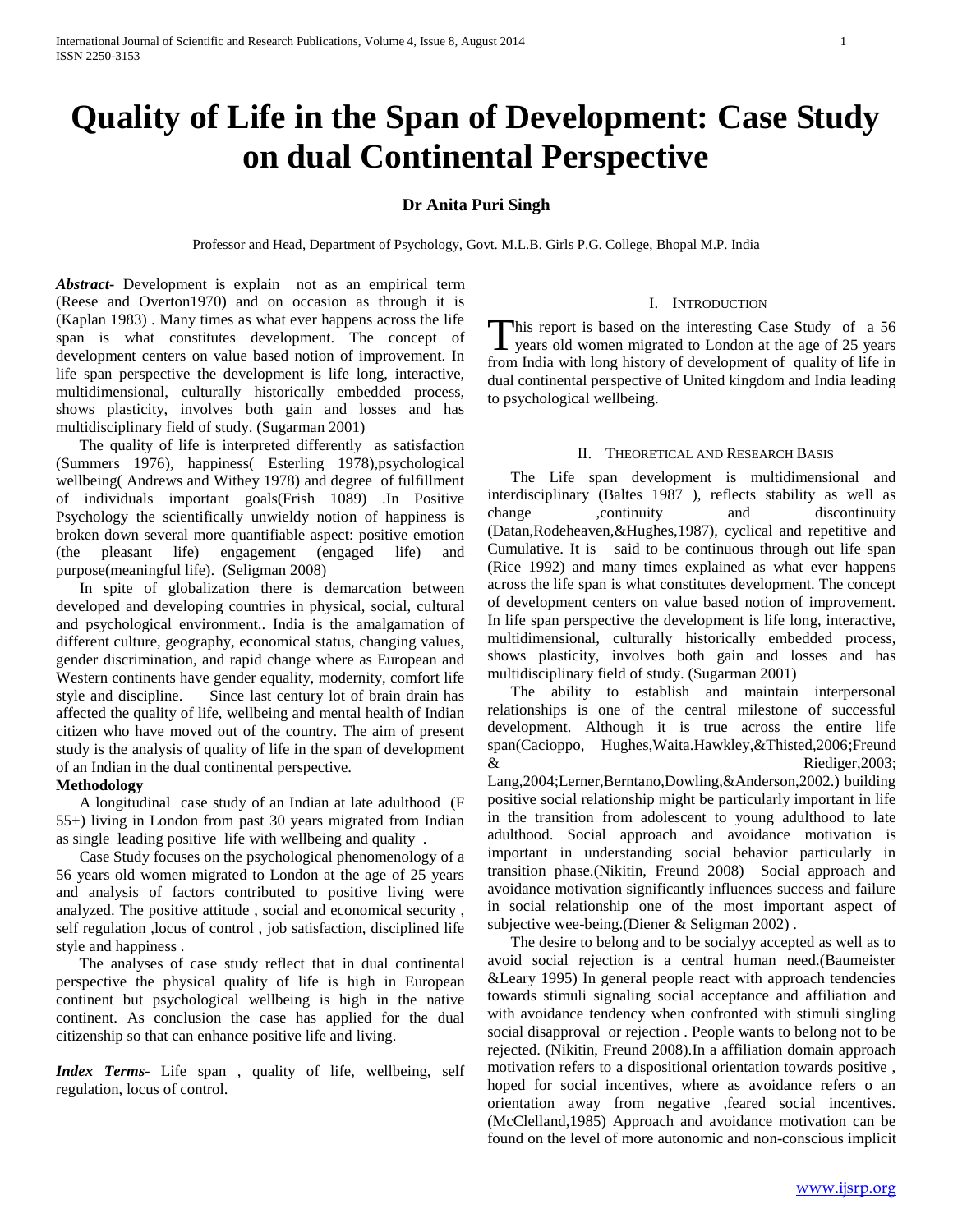# **Quality of Life in the Span of Development: Case Study on dual Continental Perspective**

# **Dr Anita Puri Singh**

Professor and Head, Department of Psychology, Govt. M.L.B. Girls P.G. College, Bhopal M.P. India

*Abstract***-** Development is explain not as an empirical term (Reese and Overton1970) and on occasion as through it is (Kaplan 1983) . Many times as what ever happens across the life span is what constitutes development. The concept of development centers on value based notion of improvement. In life span perspective the development is life long, interactive, multidimensional, culturally historically embedded process, shows plasticity, involves both gain and losses and has multidisciplinary field of study. (Sugarman 2001)

 The quality of life is interpreted differently as satisfaction (Summers 1976), happiness( Esterling 1978),psychological wellbeing( Andrews and Withey 1978) and degree of fulfillment of individuals important goals(Frish 1089) .In Positive Psychology the scientifically unwieldy notion of happiness is broken down several more quantifiable aspect: positive emotion (the pleasant life) engagement (engaged life) and purpose(meaningful life). (Seligman 2008)

 In spite of globalization there is demarcation between developed and developing countries in physical, social, cultural and psychological environment.. India is the amalgamation of different culture, geography, economical status, changing values, gender discrimination, and rapid change where as European and Western continents have gender equality, modernity, comfort life style and discipline. Since last century lot of brain drain has affected the quality of life, wellbeing and mental health of Indian citizen who have moved out of the country. The aim of present study is the analysis of quality of life in the span of development of an Indian in the dual continental perspective.

## **Methodology**

 A longitudinal case study of an Indian at late adulthood (F 55+) living in London from past 30 years migrated from Indian as single leading positive life with wellbeing and quality .

 Case Study focuses on the psychological phenomenology of a 56 years old women migrated to London at the age of 25 years and analysis of factors contributed to positive living were analyzed. The positive attitude , social and economical security , self regulation ,locus of control , job satisfaction, disciplined life style and happiness .

 The analyses of case study reflect that in dual continental perspective the physical quality of life is high in European continent but psychological wellbeing is high in the native continent. As conclusion the case has applied for the dual citizenship so that can enhance positive life and living.

*Index Terms*- Life span , quality of life, wellbeing, self regulation, locus of control.

## I. INTRODUCTION

**This report is based on the interesting Case Study of a 56** This report is based on the interesting Case Study of a 56 years old women migrated to London at the age of 25 years from India with long history of development of quality of life in dual continental perspective of United kingdom and India leading to psychological wellbeing.

## II. THEORETICAL AND RESEARCH BASIS

 The Life span development is multidimensional and interdisciplinary (Baltes 1987 ), reflects stability as well as change ,continuity and discontinuity (Datan,Rodeheaven,&Hughes,1987), cyclical and repetitive and Cumulative. It is said to be continuous through out life span (Rice 1992) and many times explained as what ever happens across the life span is what constitutes development. The concept of development centers on value based notion of improvement. In life span perspective the development is life long, interactive, multidimensional, culturally historically embedded process, shows plasticity, involves both gain and losses and has multidisciplinary field of study. (Sugarman 2001)

 The ability to establish and maintain interpersonal relationships is one of the central milestone of successful development. Although it is true across the entire life span(Cacioppo, Hughes,Waita.Hawkley,&Thisted,2006;Freund  $\&$  Riediger, 2003;

Lang,2004;Lerner,Berntano,Dowling,&Anderson,2002.) building positive social relationship might be particularly important in life in the transition from adolescent to young adulthood to late adulthood. Social approach and avoidance motivation is important in understanding social behavior particularly in transition phase.(Nikitin, Freund 2008) Social approach and avoidance motivation significantly influences success and failure in social relationship one of the most important aspect of subjective wee-being.(Diener & Seligman 2002) .

 The desire to belong and to be socialyy accepted as well as to avoid social rejection is a central human need.(Baumeister &Leary 1995) In general people react with approach tendencies towards stimuli signaling social acceptance and affiliation and with avoidance tendency when confronted with stimuli singling social disapproval or rejection . People wants to belong not to be rejected. (Nikitin, Freund 2008).In a affiliation domain approach motivation refers to a dispositional orientation towards positive , hoped for social incentives, where as avoidance refers o an orientation away from negative ,feared social incentives. (McClelland,1985) Approach and avoidance motivation can be found on the level of more autonomic and non-conscious implicit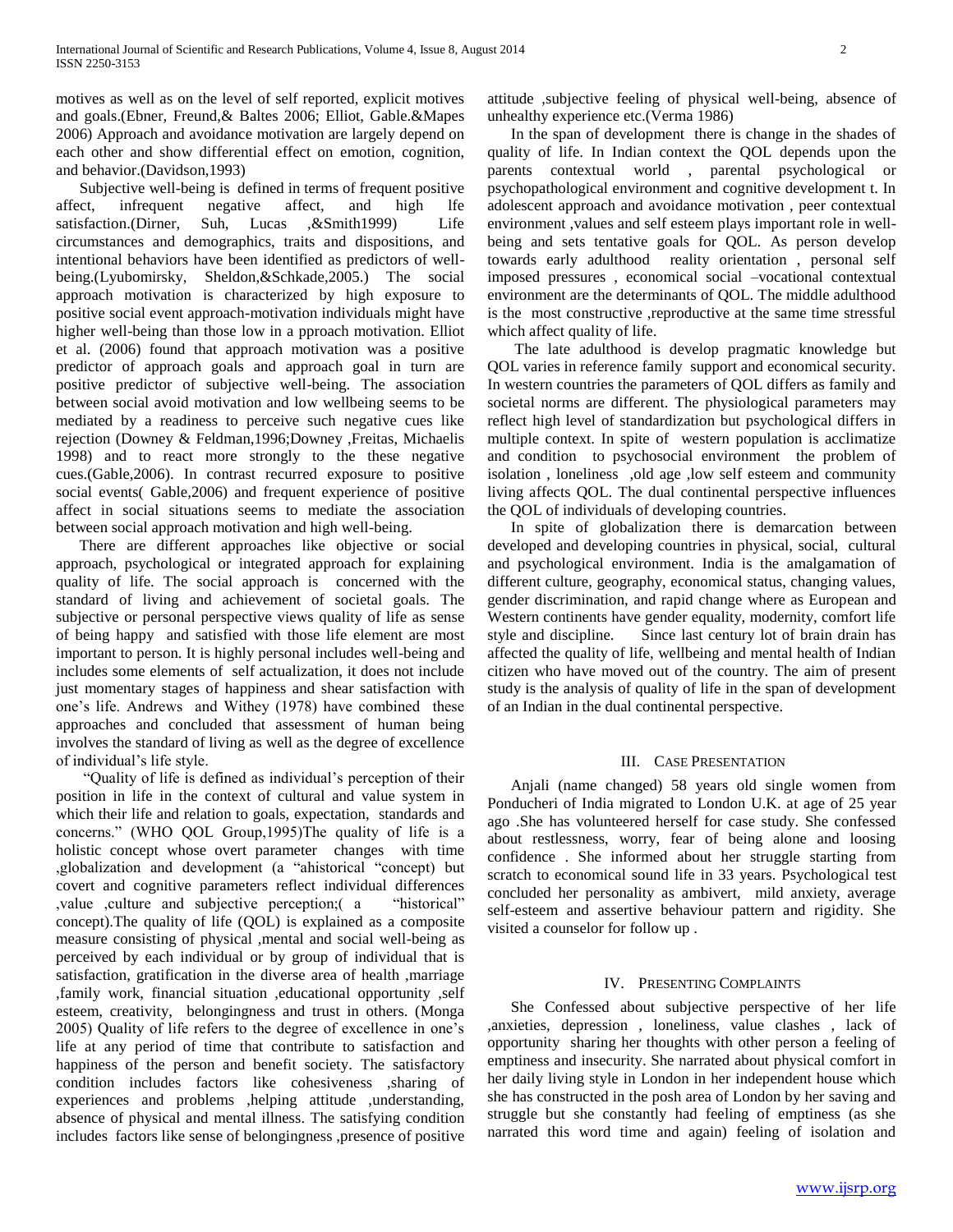motives as well as on the level of self reported, explicit motives and goals.(Ebner, Freund,& Baltes 2006; Elliot, Gable.&Mapes 2006) Approach and avoidance motivation are largely depend on each other and show differential effect on emotion, cognition, and behavior.(Davidson,1993)

 Subjective well-being is defined in terms of frequent positive affect, infrequent negative affect, and high lfe satisfaction.(Dirner, Suh, Lucas ,&Smith1999) Life circumstances and demographics, traits and dispositions, and intentional behaviors have been identified as predictors of wellbeing.(Lyubomirsky, Sheldon,&Schkade,2005.) The social approach motivation is characterized by high exposure to positive social event approach-motivation individuals might have higher well-being than those low in a pproach motivation. Elliot et al. (2006) found that approach motivation was a positive predictor of approach goals and approach goal in turn are positive predictor of subjective well-being. The association between social avoid motivation and low wellbeing seems to be mediated by a readiness to perceive such negative cues like rejection (Downey & Feldman,1996;Downey ,Freitas, Michaelis 1998) and to react more strongly to the these negative cues.(Gable,2006). In contrast recurred exposure to positive social events( Gable,2006) and frequent experience of positive affect in social situations seems to mediate the association between social approach motivation and high well-being.

 There are different approaches like objective or social approach, psychological or integrated approach for explaining quality of life. The social approach is concerned with the standard of living and achievement of societal goals. The subjective or personal perspective views quality of life as sense of being happy and satisfied with those life element are most important to person. It is highly personal includes well-being and includes some elements of self actualization, it does not include just momentary stages of happiness and shear satisfaction with one's life. Andrews and Withey (1978) have combined these approaches and concluded that assessment of human being involves the standard of living as well as the degree of excellence of individual's life style.

 "Quality of life is defined as individual's perception of their position in life in the context of cultural and value system in which their life and relation to goals, expectation, standards and concerns." (WHO QOL Group,1995)The quality of life is a holistic concept whose overt parameter changes with time ,globalization and development (a "ahistorical "concept) but covert and cognitive parameters reflect individual differences ,value ,culture and subjective perception;( a "historical" concept).The quality of life (QOL) is explained as a composite measure consisting of physical ,mental and social well-being as perceived by each individual or by group of individual that is satisfaction, gratification in the diverse area of health ,marriage ,family work, financial situation ,educational opportunity ,self esteem, creativity, belongingness and trust in others. (Monga 2005) Quality of life refers to the degree of excellence in one's life at any period of time that contribute to satisfaction and happiness of the person and benefit society. The satisfactory condition includes factors like cohesiveness ,sharing of experiences and problems ,helping attitude ,understanding, absence of physical and mental illness. The satisfying condition includes factors like sense of belongingness ,presence of positive

attitude ,subjective feeling of physical well-being, absence of unhealthy experience etc.(Verma 1986)

 In the span of development there is change in the shades of quality of life. In Indian context the QOL depends upon the parents contextual world , parental psychological or psychopathological environment and cognitive development t. In adolescent approach and avoidance motivation , peer contextual environment ,values and self esteem plays important role in wellbeing and sets tentative goals for QOL. As person develop towards early adulthood reality orientation , personal self imposed pressures , economical social –vocational contextual environment are the determinants of QOL. The middle adulthood is the most constructive ,reproductive at the same time stressful which affect quality of life.

 The late adulthood is develop pragmatic knowledge but QOL varies in reference family support and economical security. In western countries the parameters of QOL differs as family and societal norms are different. The physiological parameters may reflect high level of standardization but psychological differs in multiple context. In spite of western population is acclimatize and condition to psychosocial environment the problem of isolation , loneliness ,old age ,low self esteem and community living affects QOL. The dual continental perspective influences the QOL of individuals of developing countries.

 In spite of globalization there is demarcation between developed and developing countries in physical, social, cultural and psychological environment. India is the amalgamation of different culture, geography, economical status, changing values, gender discrimination, and rapid change where as European and Western continents have gender equality, modernity, comfort life style and discipline. Since last century lot of brain drain has affected the quality of life, wellbeing and mental health of Indian citizen who have moved out of the country. The aim of present study is the analysis of quality of life in the span of development of an Indian in the dual continental perspective.

## III. CASE PRESENTATION

 Anjali (name changed) 58 years old single women from Ponducheri of India migrated to London U.K. at age of 25 year ago .She has volunteered herself for case study. She confessed about restlessness, worry, fear of being alone and loosing confidence . She informed about her struggle starting from scratch to economical sound life in 33 years. Psychological test concluded her personality as ambivert, mild anxiety, average self-esteem and assertive behaviour pattern and rigidity. She visited a counselor for follow up .

## IV. PRESENTING COMPLAINTS

 She Confessed about subjective perspective of her life ,anxieties, depression , loneliness, value clashes , lack of opportunity sharing her thoughts with other person a feeling of emptiness and insecurity. She narrated about physical comfort in her daily living style in London in her independent house which she has constructed in the posh area of London by her saving and struggle but she constantly had feeling of emptiness (as she narrated this word time and again) feeling of isolation and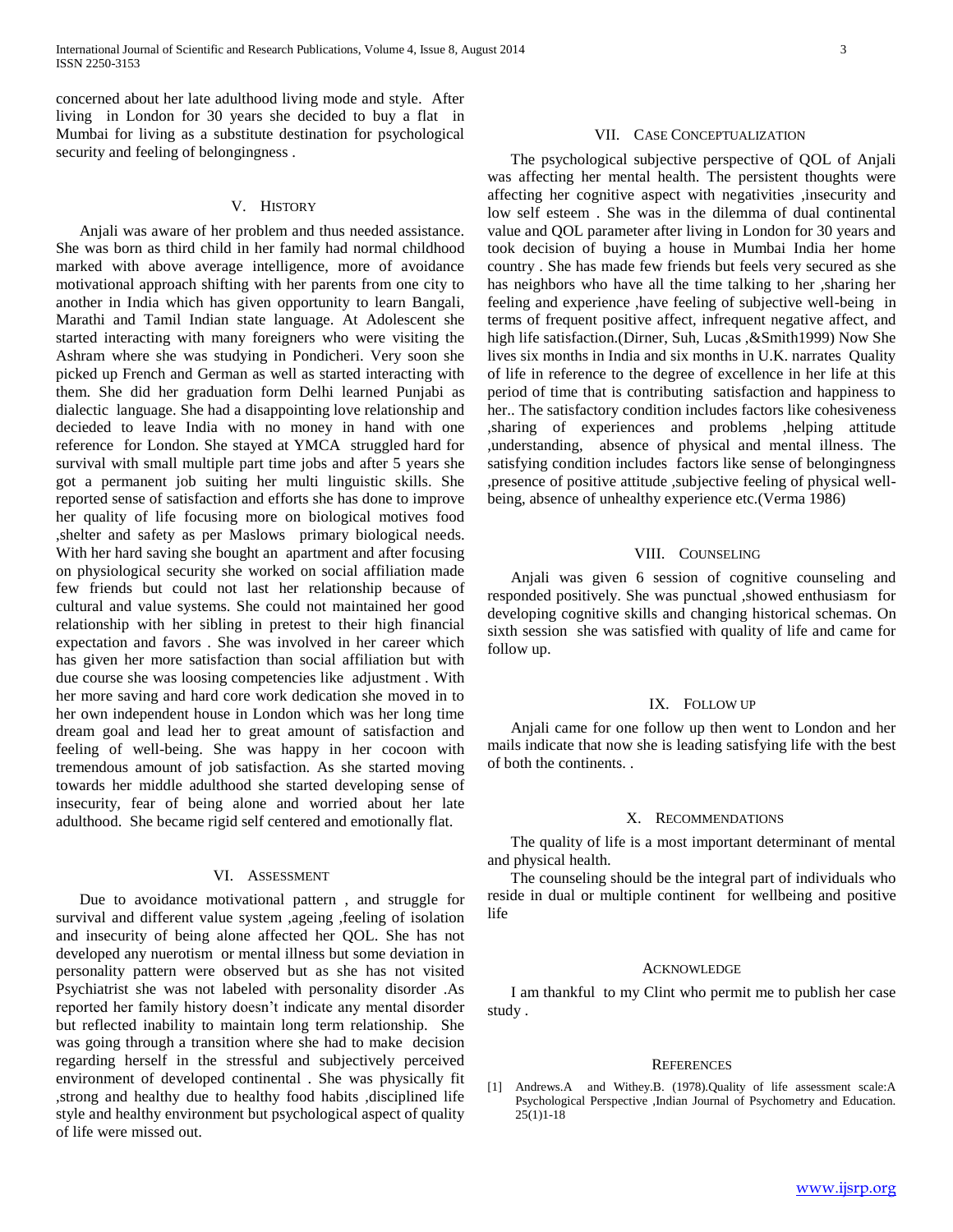concerned about her late adulthood living mode and style. After living in London for 30 years she decided to buy a flat in Mumbai for living as a substitute destination for psychological security and feeling of belongingness .

## V. HISTORY

 Anjali was aware of her problem and thus needed assistance. She was born as third child in her family had normal childhood marked with above average intelligence, more of avoidance motivational approach shifting with her parents from one city to another in India which has given opportunity to learn Bangali, Marathi and Tamil Indian state language. At Adolescent she started interacting with many foreigners who were visiting the Ashram where she was studying in Pondicheri. Very soon she picked up French and German as well as started interacting with them. She did her graduation form Delhi learned Punjabi as dialectic language. She had a disappointing love relationship and decieded to leave India with no money in hand with one reference for London. She stayed at YMCA struggled hard for survival with small multiple part time jobs and after 5 years she got a permanent job suiting her multi linguistic skills. She reported sense of satisfaction and efforts she has done to improve her quality of life focusing more on biological motives food ,shelter and safety as per Maslows primary biological needs. With her hard saving she bought an apartment and after focusing on physiological security she worked on social affiliation made few friends but could not last her relationship because of cultural and value systems. She could not maintained her good relationship with her sibling in pretest to their high financial expectation and favors . She was involved in her career which has given her more satisfaction than social affiliation but with due course she was loosing competencies like adjustment . With her more saving and hard core work dedication she moved in to her own independent house in London which was her long time dream goal and lead her to great amount of satisfaction and feeling of well-being. She was happy in her cocoon with tremendous amount of job satisfaction. As she started moving towards her middle adulthood she started developing sense of insecurity, fear of being alone and worried about her late adulthood. She became rigid self centered and emotionally flat.

### VI. ASSESSMENT

 Due to avoidance motivational pattern , and struggle for survival and different value system ,ageing ,feeling of isolation and insecurity of being alone affected her QOL. She has not developed any nuerotism or mental illness but some deviation in personality pattern were observed but as she has not visited Psychiatrist she was not labeled with personality disorder .As reported her family history doesn't indicate any mental disorder but reflected inability to maintain long term relationship. She was going through a transition where she had to make decision regarding herself in the stressful and subjectively perceived environment of developed continental . She was physically fit ,strong and healthy due to healthy food habits ,disciplined life style and healthy environment but psychological aspect of quality of life were missed out.

## VII. CASE CONCEPTUALIZATION

 The psychological subjective perspective of QOL of Anjali was affecting her mental health. The persistent thoughts were affecting her cognitive aspect with negativities ,insecurity and low self esteem . She was in the dilemma of dual continental value and QOL parameter after living in London for 30 years and took decision of buying a house in Mumbai India her home country . She has made few friends but feels very secured as she has neighbors who have all the time talking to her ,sharing her feeling and experience ,have feeling of subjective well-being in terms of frequent positive affect, infrequent negative affect, and high life satisfaction.(Dirner, Suh, Lucas ,&Smith1999) Now She lives six months in India and six months in U.K. narrates Quality of life in reference to the degree of excellence in her life at this period of time that is contributing satisfaction and happiness to her.. The satisfactory condition includes factors like cohesiveness ,sharing of experiences and problems ,helping attitude ,understanding, absence of physical and mental illness. The satisfying condition includes factors like sense of belongingness ,presence of positive attitude ,subjective feeling of physical wellbeing, absence of unhealthy experience etc.(Verma 1986)

## VIII. COUNSELING

 Anjali was given 6 session of cognitive counseling and responded positively. She was punctual ,showed enthusiasm for developing cognitive skills and changing historical schemas. On sixth session she was satisfied with quality of life and came for follow up.

# IX. FOLLOW UP

 Anjali came for one follow up then went to London and her mails indicate that now she is leading satisfying life with the best of both the continents. .

### X. RECOMMENDATIONS

 The quality of life is a most important determinant of mental and physical health.

 The counseling should be the integral part of individuals who reside in dual or multiple continent for wellbeing and positive life

#### ACKNOWLEDGE

 I am thankful to my Clint who permit me to publish her case study .

#### **REFERENCES**

[1] Andrews.A and Withey.B. (1978).Quality of life assessment scale:A Psychological Perspective ,Indian Journal of Psychometry and Education. 25(1)1-18